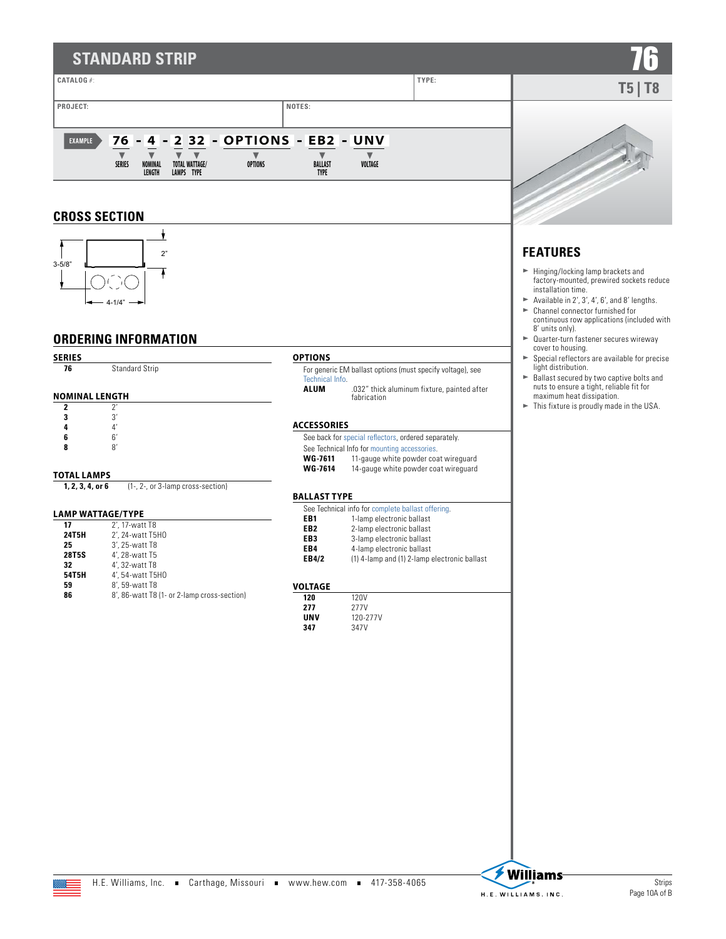